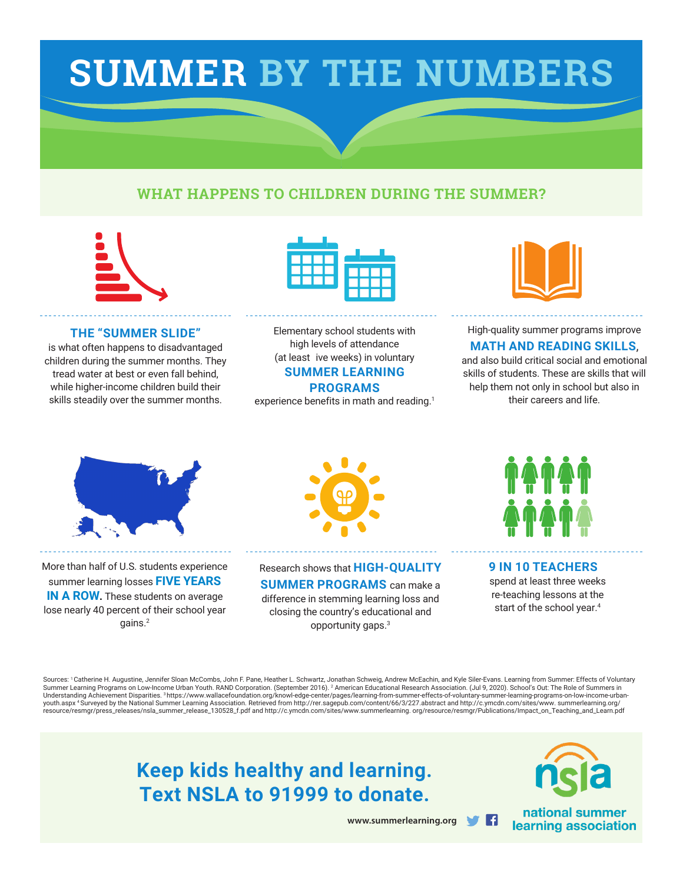# **SUMMER BY THE NUMBERS**

### **WHAT HAPPENS TO CHILDREN DURING THE SUMMER?**



#### **THE "SUMMER SLIDE"**

is what often happens to disadvantaged children during the summer months. They tread water at best or even fall behind, while higher-income children build their skills steadily over the summer months.



Elementary school students with high levels of attendance (at least ive weeks) in voluntary **SUMMER LEARNING** 

#### **PROGRAMS**

experience benefits in math and reading.<sup>1</sup>



#### High-quality summer programs improve **MATH AND READING SKILLS**,

and also build critical social and emotional skills of students. These are skills that will help them not only in school but also in their careers and life.



More than half of U.S. students experience summer learning losses **FIVE YEARS IN A ROW.** These students on average lose nearly 40 percent of their school year gains.<sup>2</sup>



Research shows that **HIGH-QUALITY SUMMER PROGRAMS** can make a

difference in stemming learning loss and closing the country's educational and opportunity gaps.<sup>3</sup>



#### **9 IN 10 TEACHERS** spend at least three weeks re-teaching lessons at the

start of the school year.<sup>4</sup>

Facebook "f" Logo CMYK / .eps Facebook "f" Logo CMYK / .eps

Sources: <sup>1</sup>Catherine H. Augustine, Jennifer Sloan McCombs, John F. Pane, Heather L. Schwartz, Jonathan Schweig, Andrew McEachin, and Kyle Siler-Evans. Learning from Summer: Effects of Voluntary Summer Learning Programs on Low-Income Urban Youth. RAND Corporation. (September 2016). <sup>2</sup> American Educational Research Association. (Jul 9, 2020). School's Out: The Role of Summers in Understanding Achievement Disparities. 3 https://www.wallacefoundation.org/knowl-edge-center/pages/learning-from-summer-effects-of-voluntary-summer-learning-programs-on-low-income-urbanyouth.aspx <sup>4</sup>Surveyed by the National Summer Learning Association. Retrieved from http://rer.sagepub.com/content/66/3/227.abstract and http://c.ymcdn.com/sites/www. summerlearning.org/ resource/resmgr/press\_releases/nsla\_summer\_release\_130528\_f.pdf and http://c.ymcdn.com/sites/www.summerlearning. org/resource/resmgr/Publications/Impact\_on\_Teaching\_and\_Learn.pdf

> **Keep kids healthy and learning. Text NSLA to 91999 to donate.**



learning association

**www.summerlearning.org**